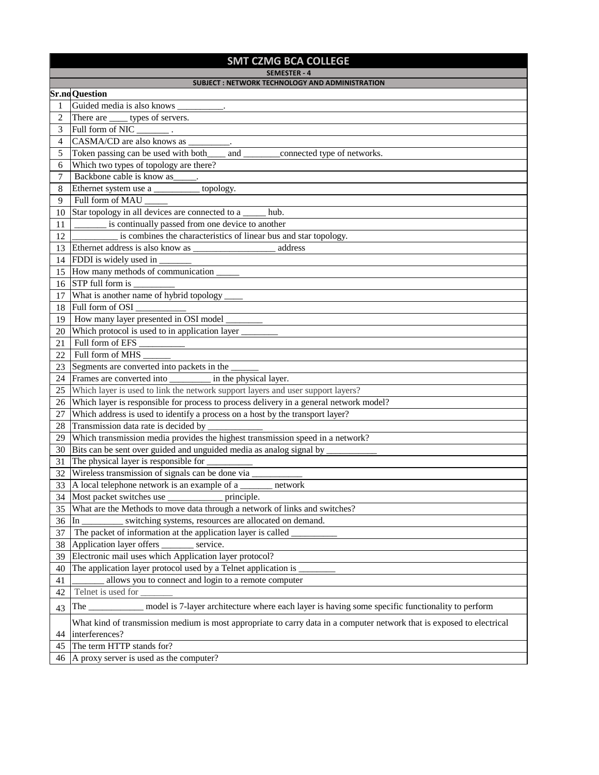## **SMT CZMG BCA COLLEGE**

**SEMESTER - 4**

| $J1$ $J2$ $I1$ $I2$ $I3$<br>SUBJECT: NETWORK TECHNOLOGY AND ADMINISTRATION |                                                                                                                        |  |
|----------------------------------------------------------------------------|------------------------------------------------------------------------------------------------------------------------|--|
|                                                                            | <b>Sr.no</b> Question                                                                                                  |  |
| 1                                                                          | Guided media is also knows                                                                                             |  |
| 2                                                                          | There are ______ types of servers.                                                                                     |  |
| 3                                                                          | Full form of NIC                                                                                                       |  |
| 4                                                                          | CASMA/CD are also knows as                                                                                             |  |
| 5                                                                          | Token passing can be used with both_______<br>_connected type of networks.<br>and $\qquad$                             |  |
| 6                                                                          | Which two types of topology are there?                                                                                 |  |
| 7                                                                          | Backbone cable is know as ______.                                                                                      |  |
| 8                                                                          | Ethernet system use a ___________ topology.                                                                            |  |
| 9                                                                          | Full form of MAU                                                                                                       |  |
| 10                                                                         | Star topology in all devices are connected to a<br>hub.                                                                |  |
| 11                                                                         | is continually passed from one device to another                                                                       |  |
| 12                                                                         | is combines the characteristics of linear bus and star topology.                                                       |  |
|                                                                            | address                                                                                                                |  |
|                                                                            | 14 FDDI is widely used in                                                                                              |  |
|                                                                            | 15 How many methods of communication                                                                                   |  |
|                                                                            | 16 STP full form is                                                                                                    |  |
|                                                                            | 17 What is another name of hybrid topology                                                                             |  |
|                                                                            | 18 Full form of OSI                                                                                                    |  |
|                                                                            | 19   How many layer presented in OSI model                                                                             |  |
|                                                                            | 20 Which protocol is used to in application layer _                                                                    |  |
| 21                                                                         | Full form of EFS                                                                                                       |  |
| 22                                                                         | Full form of MHS                                                                                                       |  |
| 23                                                                         | Segments are converted into packets in the                                                                             |  |
|                                                                            | 24 Frames are converted into _______ in the physical layer.                                                            |  |
| 25                                                                         | Which layer is used to link the network support layers and user support layers?                                        |  |
|                                                                            | 26 Which layer is responsible for process to process delivery in a general network model?                              |  |
| 27                                                                         | Which address is used to identify a process on a host by the transport layer?                                          |  |
|                                                                            | 28 Transmission data rate is decided by                                                                                |  |
|                                                                            | 29 Which transmission media provides the highest transmission speed in a network?                                      |  |
|                                                                            | 30 Bits can be sent over guided and unguided media as analog signal by _                                               |  |
| 31                                                                         | The physical layer is responsible for                                                                                  |  |
|                                                                            | 32 Wireless transmission of signals can be done via __                                                                 |  |
|                                                                            | 33 A local telephone network is an example of a ________ network                                                       |  |
|                                                                            | 34 Most packet switches use<br>principle.                                                                              |  |
| 35                                                                         | What are the Methods to move data through a network of links and switches?                                             |  |
| 36                                                                         | In<br>switching systems, resources are allocated on demand.                                                            |  |
| 37                                                                         | The packet of information at the application layer is called                                                           |  |
| 38                                                                         | Application layer offers<br>service.                                                                                   |  |
| 39                                                                         | Electronic mail uses which Application layer protocol?                                                                 |  |
| 40                                                                         | The application layer protocol used by a Telnet application is                                                         |  |
| 41                                                                         | allows you to connect and login to a remote computer                                                                   |  |
| 42                                                                         | Telnet is used for                                                                                                     |  |
| 43                                                                         | model is 7-layer architecture where each layer is having some specific functionality to perform<br>The $\qquad$        |  |
|                                                                            | What kind of transmission medium is most appropriate to carry data in a computer network that is exposed to electrical |  |
| 44                                                                         | interferences?                                                                                                         |  |
|                                                                            | 45 The term HTTP stands for?                                                                                           |  |
|                                                                            | 46 A proxy server is used as the computer?                                                                             |  |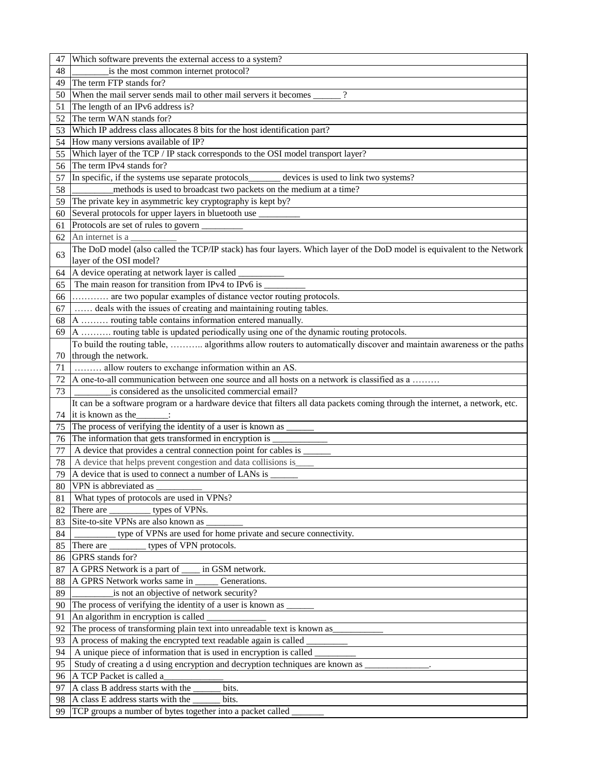| 47 | Which software prevents the external access to a system?                                                                     |
|----|------------------------------------------------------------------------------------------------------------------------------|
| 48 | is the most common internet protocol?                                                                                        |
| 49 | The term FTP stands for?                                                                                                     |
| 50 | When the mail server sends mail to other mail servers it becomes _______                                                     |
| 51 | The length of an IPv6 address is?                                                                                            |
| 52 | The term WAN stands for?                                                                                                     |
| 53 | Which IP address class allocates 8 bits for the host identification part?                                                    |
| 54 | How many versions available of IP?                                                                                           |
| 55 | Which layer of the TCP / IP stack corresponds to the OSI model transport layer?                                              |
| 56 | The term IPv4 stands for?                                                                                                    |
| 57 | In specific, if the systems use separate protocols_______________________________<br>devices is used to link two systems?    |
| 58 | methods is used to broadcast two packets on the medium at a time?                                                            |
| 59 | The private key in asymmetric key cryptography is kept by?                                                                   |
| 60 | Several protocols for upper layers in bluetooth use                                                                          |
| 61 | Protocols are set of rules to govern _________                                                                               |
| 62 | An internet is a                                                                                                             |
|    | The DoD model (also called the TCP/IP stack) has four layers. Which layer of the DoD model is equivalent to the Network      |
| 63 | layer of the OSI model?                                                                                                      |
| 64 | A device operating at network layer is called                                                                                |
| 65 | The main reason for transition from IPv4 to IPv6 is                                                                          |
| 66 | are two popular examples of distance vector routing protocols.                                                               |
| 67 | deals with the issues of creating and maintaining routing tables.                                                            |
| 68 | A  routing table contains information entered manually.                                                                      |
| 69 | A  routing table is updated periodically using one of the dynamic routing protocols.                                         |
|    | To build the routing table,  algorithms allow routers to automatically discover and maintain awareness or the paths          |
| 70 | through the network.                                                                                                         |
| 71 | allow routers to exchange information within an AS.                                                                          |
| 72 | A one-to-all communication between one source and all hosts on a network is classified as a                                  |
| 73 | is considered as the unsolicited commercial email?                                                                           |
|    | It can be a software program or a hardware device that filters all data packets coming through the internet, a network, etc. |
| 74 | it is known as the<br>$\overline{\phantom{a}}$                                                                               |
| 75 | The process of verifying the identity of a user is known as _                                                                |
| 76 | The information that gets transformed in encryption is                                                                       |
| 77 | A device that provides a central connection point for cables is                                                              |
| 78 | A device that helps prevent congestion and data collisions is                                                                |
| 79 | A device that is used to connect a number of LANs is                                                                         |
| 80 | VPN is abbreviated as                                                                                                        |
| 81 | What types of protocols are used in VPNs?                                                                                    |
| 82 | There are ______________ types of VPNs.                                                                                      |
| 83 | Site-to-site VPNs are also known as                                                                                          |
| 84 | type of VPNs are used for home private and secure connectivity.                                                              |
| 85 | types of VPN protocols.<br>There are                                                                                         |
| 86 | GPRS stands for?                                                                                                             |
| 87 | A GPRS Network is a part of _____ in GSM network.                                                                            |
| 88 | A GPRS Network works same in _____<br>Generations.                                                                           |
| 89 | is not an objective of network security?                                                                                     |
| 90 | The process of verifying the identity of a user is known as _                                                                |
| 91 | An algorithm in encryption is called                                                                                         |
| 92 | The process of transforming plain text into unreadable text is known as _________                                            |
| 93 |                                                                                                                              |
| 94 | A unique piece of information that is used in encryption is called                                                           |
| 95 | Study of creating a d using encryption and decryption techniques are known as _____________.                                 |
| 96 | A TCP Packet is called a                                                                                                     |
| 97 | A class B address starts with the<br>bits.                                                                                   |
|    |                                                                                                                              |
| 98 | A class E address starts with the<br>bits.                                                                                   |